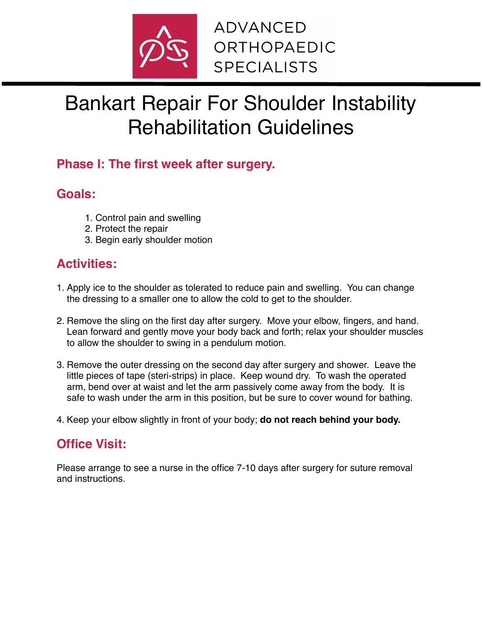

# Bankart Repair For Shoulder Instability Rehabilitation Guidelines

### **Phase I: The first week after surgery.**

### **Goals:**

- 1. Control pain and swelling
- 2. Protect the repair
- 3. Begin early shoulder motion

# **Activities:**

- 1. Apply ice to the shoulder as tolerated to reduce pain and swelling. You can change the dressing to a smaller one to allow the cold to get to the shoulder.
- 2. Remove the sling on the first day after surgery. Move your elbow, fingers, and hand. Lean forward and gently move your body back and forth; relax your shoulder muscles to allow the shoulder to swing in a pendulum motion.
- 3. Remove the outer dressing on the second day after surgery and shower. Leave the little pieces of tape (steri-strips) in place. Keep wound dry. To wash the operated arm, bend over at waist and let the arm passively come away from the body. It is safe to wash under the arm in this position, but be sure to cover wound for bathing.
- 4. Keep your elbow slightly in front of your body; **do not reach behind your body.**

# **Office Visit:**

Please arrange to see a nurse in the office 7-10 days after surgery for suture removal and instructions.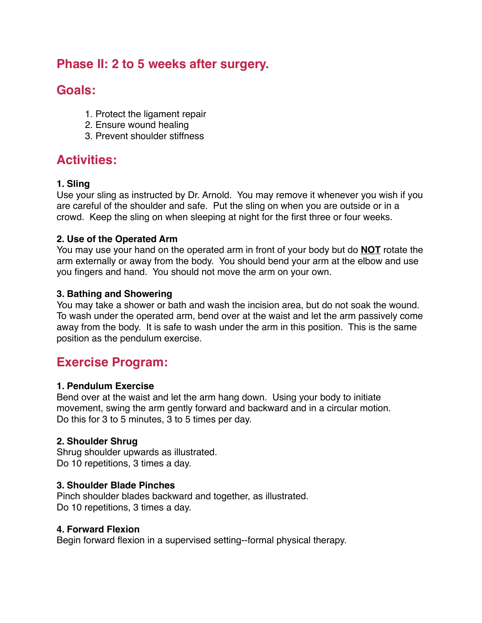### **Phase II: 2 to 5 weeks after surgery.**

### **Goals:**

- 1. Protect the ligament repair
- 2. Ensure wound healing
- 3. Prevent shoulder stiffness

### **Activities:**

#### **1. Sling**

Use your sling as instructed by Dr. Arnold. You may remove it whenever you wish if you are careful of the shoulder and safe. Put the sling on when you are outside or in a crowd. Keep the sling on when sleeping at night for the first three or four weeks.

#### **2. Use of the Operated Arm**

You may use your hand on the operated arm in front of your body but do **NOT** rotate the arm externally or away from the body. You should bend your arm at the elbow and use you fingers and hand. You should not move the arm on your own.

#### **3. Bathing and Showering**

You may take a shower or bath and wash the incision area, but do not soak the wound. To wash under the operated arm, bend over at the waist and let the arm passively come away from the body. It is safe to wash under the arm in this position. This is the same position as the pendulum exercise.

### **Exercise Program:**

#### **1. Pendulum Exercise**

Bend over at the waist and let the arm hang down. Using your body to initiate movement, swing the arm gently forward and backward and in a circular motion. Do this for 3 to 5 minutes, 3 to 5 times per day.

#### **2. Shoulder Shrug**

Shrug shoulder upwards as illustrated. Do 10 repetitions, 3 times a day.

#### **3. Shoulder Blade Pinches**

Pinch shoulder blades backward and together, as illustrated. Do 10 repetitions, 3 times a day.

#### **4. Forward Flexion**

Begin forward flexion in a supervised setting--formal physical therapy.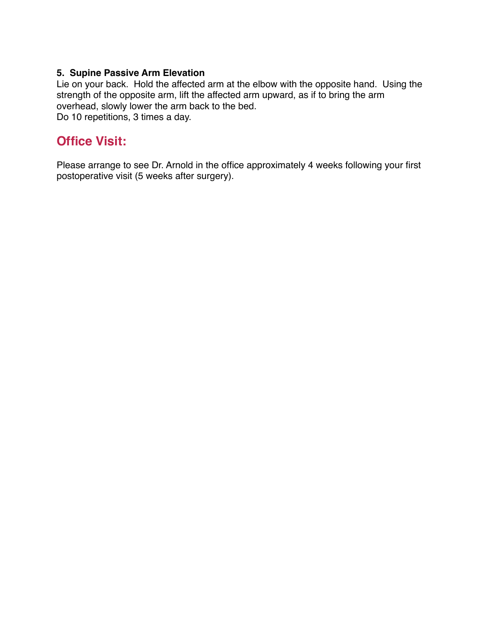#### **5. Supine Passive Arm Elevation**

Lie on your back. Hold the affected arm at the elbow with the opposite hand. Using the strength of the opposite arm, lift the affected arm upward, as if to bring the arm overhead, slowly lower the arm back to the bed. Do 10 repetitions, 3 times a day.

### **Office Visit:**

Please arrange to see Dr. Arnold in the office approximately 4 weeks following your first postoperative visit (5 weeks after surgery).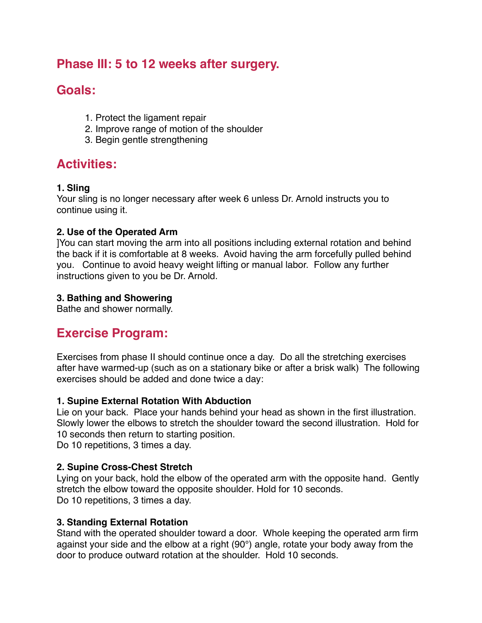### **Phase III: 5 to 12 weeks after surgery.**

## **Goals:**

- 1. Protect the ligament repair
- 2. Improve range of motion of the shoulder
- 3. Begin gentle strengthening

### **Activities:**

#### **1. Sling**

Your sling is no longer necessary after week 6 unless Dr. Arnold instructs you to continue using it.

#### **2. Use of the Operated Arm**

]You can start moving the arm into all positions including external rotation and behind the back if it is comfortable at 8 weeks. Avoid having the arm forcefully pulled behind you. Continue to avoid heavy weight lifting or manual labor. Follow any further instructions given to you be Dr. Arnold.

#### **3. Bathing and Showering**

Bathe and shower normally.

## **Exercise Program:**

Exercises from phase II should continue once a day. Do all the stretching exercises after have warmed-up (such as on a stationary bike or after a brisk walk) The following exercises should be added and done twice a day:

#### **1. Supine External Rotation With Abduction**

Lie on your back. Place your hands behind your head as shown in the first illustration. Slowly lower the elbows to stretch the shoulder toward the second illustration. Hold for 10 seconds then return to starting position.

Do 10 repetitions, 3 times a day.

#### **2. Supine Cross-Chest Stretch**

Lying on your back, hold the elbow of the operated arm with the opposite hand. Gently stretch the elbow toward the opposite shoulder. Hold for 10 seconds. Do 10 repetitions, 3 times a day.

#### **3. Standing External Rotation**

Stand with the operated shoulder toward a door. Whole keeping the operated arm firm against your side and the elbow at a right (90°) angle, rotate your body away from the door to produce outward rotation at the shoulder. Hold 10 seconds.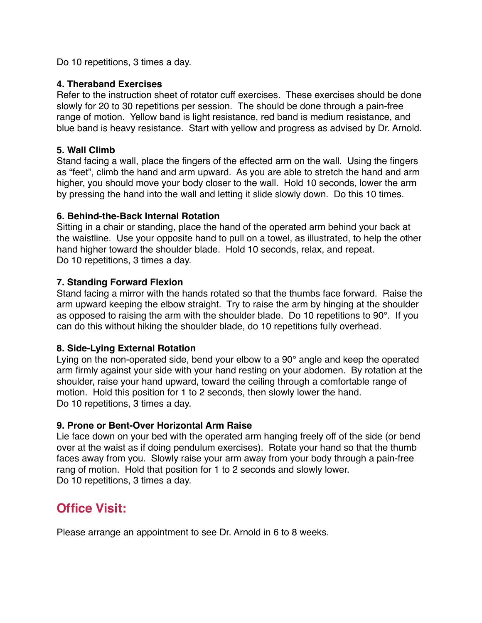Do 10 repetitions, 3 times a day.

#### **4. Theraband Exercises**

Refer to the instruction sheet of rotator cuff exercises. These exercises should be done slowly for 20 to 30 repetitions per session. The should be done through a pain-free range of motion. Yellow band is light resistance, red band is medium resistance, and blue band is heavy resistance. Start with yellow and progress as advised by Dr. Arnold.

#### **5. Wall Climb**

Stand facing a wall, place the fingers of the effected arm on the wall. Using the fingers as "feet", climb the hand and arm upward. As you are able to stretch the hand and arm higher, you should move your body closer to the wall. Hold 10 seconds, lower the arm by pressing the hand into the wall and letting it slide slowly down. Do this 10 times.

#### **6. Behind-the-Back Internal Rotation**

Sitting in a chair or standing, place the hand of the operated arm behind your back at the waistline. Use your opposite hand to pull on a towel, as illustrated, to help the other hand higher toward the shoulder blade. Hold 10 seconds, relax, and repeat. Do 10 repetitions, 3 times a day.

#### **7. Standing Forward Flexion**

Stand facing a mirror with the hands rotated so that the thumbs face forward. Raise the arm upward keeping the elbow straight. Try to raise the arm by hinging at the shoulder as opposed to raising the arm with the shoulder blade. Do 10 repetitions to 90°. If you can do this without hiking the shoulder blade, do 10 repetitions fully overhead.

#### **8. Side-Lying External Rotation**

Lying on the non-operated side, bend your elbow to a 90° angle and keep the operated arm firmly against your side with your hand resting on your abdomen. By rotation at the shoulder, raise your hand upward, toward the ceiling through a comfortable range of motion. Hold this position for 1 to 2 seconds, then slowly lower the hand. Do 10 repetitions, 3 times a day.

#### **9. Prone or Bent-Over Horizontal Arm Raise**

Lie face down on your bed with the operated arm hanging freely off of the side (or bend over at the waist as if doing pendulum exercises). Rotate your hand so that the thumb faces away from you. Slowly raise your arm away from your body through a pain-free rang of motion. Hold that position for 1 to 2 seconds and slowly lower. Do 10 repetitions, 3 times a day.

### **Office Visit:**

Please arrange an appointment to see Dr. Arnold in 6 to 8 weeks.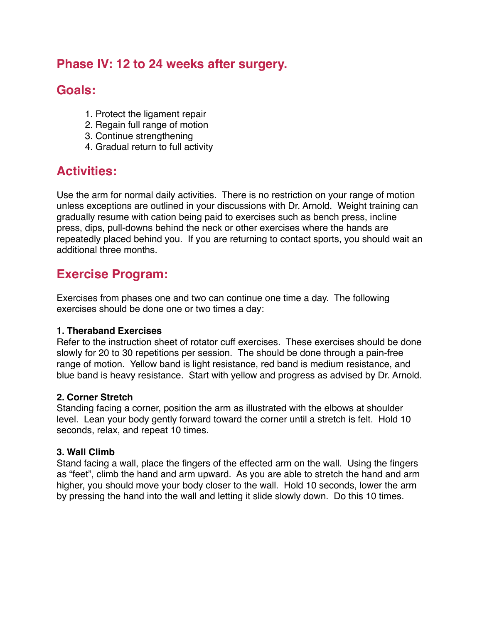### **Phase IV: 12 to 24 weeks after surgery.**

### **Goals:**

- 1. Protect the ligament repair
- 2. Regain full range of motion
- 3. Continue strengthening
- 4. Gradual return to full activity

### **Activities:**

Use the arm for normal daily activities. There is no restriction on your range of motion unless exceptions are outlined in your discussions with Dr. Arnold. Weight training can gradually resume with cation being paid to exercises such as bench press, incline press, dips, pull-downs behind the neck or other exercises where the hands are repeatedly placed behind you. If you are returning to contact sports, you should wait an additional three months.

### **Exercise Program:**

Exercises from phases one and two can continue one time a day. The following exercises should be done one or two times a day:

#### **1. Theraband Exercises**

Refer to the instruction sheet of rotator cuff exercises. These exercises should be done slowly for 20 to 30 repetitions per session. The should be done through a pain-free range of motion. Yellow band is light resistance, red band is medium resistance, and blue band is heavy resistance. Start with yellow and progress as advised by Dr. Arnold.

#### **2. Corner Stretch**

Standing facing a corner, position the arm as illustrated with the elbows at shoulder level. Lean your body gently forward toward the corner until a stretch is felt. Hold 10 seconds, relax, and repeat 10 times.

#### **3. Wall Climb**

Stand facing a wall, place the fingers of the effected arm on the wall. Using the fingers as "feet", climb the hand and arm upward. As you are able to stretch the hand and arm higher, you should move your body closer to the wall. Hold 10 seconds, lower the arm by pressing the hand into the wall and letting it slide slowly down. Do this 10 times.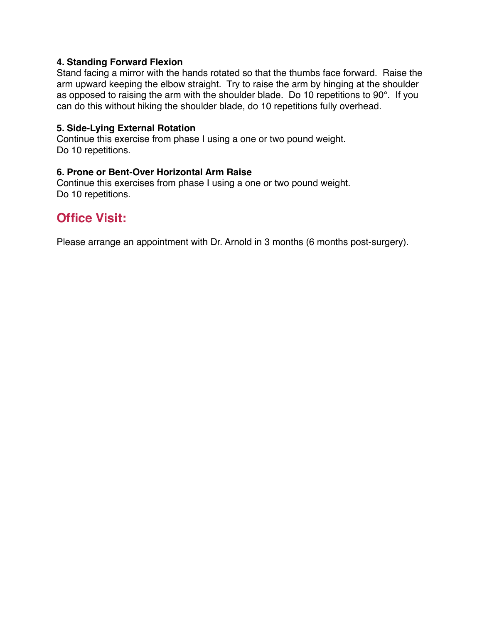#### **4. Standing Forward Flexion**

Stand facing a mirror with the hands rotated so that the thumbs face forward. Raise the arm upward keeping the elbow straight. Try to raise the arm by hinging at the shoulder as opposed to raising the arm with the shoulder blade. Do 10 repetitions to 90°. If you can do this without hiking the shoulder blade, do 10 repetitions fully overhead.

#### **5. Side-Lying External Rotation**

Continue this exercise from phase I using a one or two pound weight. Do 10 repetitions.

#### **6. Prone or Bent-Over Horizontal Arm Raise**

Continue this exercises from phase I using a one or two pound weight. Do 10 repetitions.

### **Office Visit:**

Please arrange an appointment with Dr. Arnold in 3 months (6 months post-surgery).